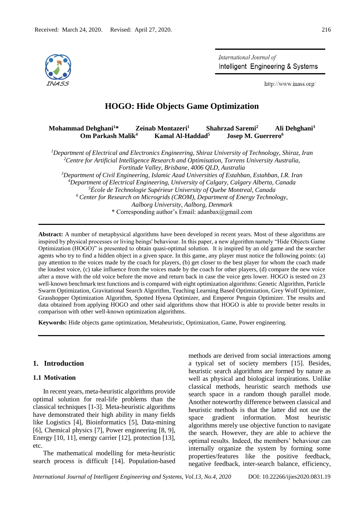

International Journal of Intelligent Engineering & Systems

http://www.inass.org/

# **HOGO: Hide Objects Game Optimization**

#### **Mohammad Dehghani<sup>1</sup>\* Zeinab Montazeri<sup>1</sup> Shahrzad Saremi<sup>2</sup> Ali Dehghani<sup>3</sup> Om Parkash Malik<sup>4</sup> Kamal Al-Haddad<sup>5</sup> Josep M. Guerrero<sup>6</sup>**

*Department of Electrical and Electronics Engineering, Shiraz University of Technology, Shiraz, Iran Centre for Artificial Intelligence Research and Optimisation, Torrens University Australia, Fortitude Valley, Brisbane, 4006 QLD, Australia Department of Civil Engineering, Islamic Azad Universities of Estahban, Estahban, I.R. Iran Department of Electrical Engineering, University of Calgary, Calgary Alberta, Canada École de Technologie Supérieur University of Quebe Montreal, Canada Center for Research on Microgrids (CROM), Department of Energy Technology, Aalborg University, Aalborg, Denmark* \* Corresponding author's Email: adanbax@gmail.com

**Abstract:** A number of metaphysical algorithms have been developed in recent years. Most of these algorithms are inspired by physical processes or living beings' behaviour. In this paper, a new algorithm namely "Hide Objects Game Optimization (HOGO)" is presented to obtain quasi-optimal solution. It is inspired by an old game and the searcher agents who try to find a hidden object in a given space. In this game, any player must notice the following points: (a) pay attention to the voices made by the coach for players, (b) get closer to the best player for whom the coach made the loudest voice, (c) take influence from the voices made by the coach for other players, (d) compare the new voice after a move with the old voice before the move and return back in case the voice gets lower. HOGO is tested on 23 well-known benchmark test functions and is compared with eight optimization algorithms: Genetic Algorithm, Particle Swarm Optimization, Gravitational Search Algorithm, Teaching Learning Based Optimization, Grey Wolf Optimizer, Grasshopper Optimization Algorithm, Spotted Hyena Optimizer, and Emperor Penguin Optimizer. The results and data obtained from applying HOGO and other said algorithms show that HOGO is able to provide better results in comparison with other well-known optimization algorithms.

**Keywords:** Hide objects game optimization, Metaheuristic, Optimization, Game, Power engineering.

## **1. Introduction**

## **1.1 Motivation**

In recent years, meta-heuristic algorithms provide optimal solution for real-life problems than the classical techniques [1-3]. Meta-heuristic algorithms have demonstrated their high ability in many fields like Logistics [4], Bioinformatics [5], Data-mining [6], Chemical physics [7], Power engineering [8, 9], Energy [10, 11], energy carrier [12], protection [13], etc.

The mathematical modelling for meta-heuristic search process is difficult [14]. Population-based methods are derived from social interactions among a typical set of society members [15]. Besides, heuristic search algorithms are formed by nature as well as physical and biological inspirations. Unlike classical methods, heuristic search methods use search space in a random though parallel mode. Another noteworthy difference between classical and heuristic methods is that the latter did not use the space gradient information. Most heuristic algorithms merely use objective function to navigate the search. However, they are able to achieve the optimal results. Indeed, the members' behaviour can internally organize the system by forming some properties/features like the positive feedback, negative feedback, inter-search balance, efficiency,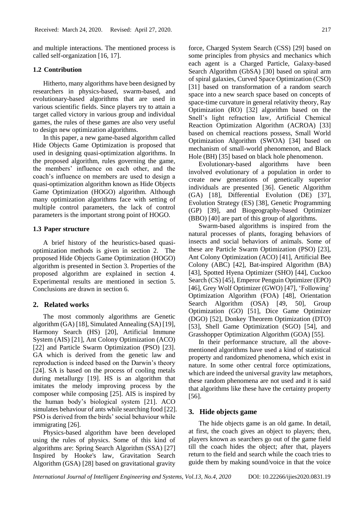and multiple interactions. The mentioned process is called self-organization [16, 17].

#### **1.2 Contribution**

Hitherto, many algorithms have been designed by researchers in physics-based, swarm-based, and evolutionary-based algorithms that are used in various scientific fields. Since players try to attain a target called victory in various group and individual games, the rules of these games are also very useful to design new optimization algorithms.

In this paper, a new game-based algorithm called Hide Objects Game Optimization is proposed that used in designing quasi-optimization algorithms. In the proposed algorithm, rules governing the game, the members' influence on each other, and the coach's influence on members are used to design a quasi-optimization algorithm known as Hide Objects Game Optimization (HOGO) algorithm. Although many optimization algorithms face with setting of multiple control parameters, the lack of control parameters is the important strong point of HOGO.

#### **1.3 Paper structure**

A brief history of the heuristics-based quasioptimization methods is given in section 2. The proposed Hide Objects Game Optimization (HOGO) algorithm is presented in Section 3. Properties of the proposed algorithm are explained in section 4. Experimental results are mentioned in section 5. Conclusions are drawn in section 6.

#### **2. Related works**

The most commonly algorithms are Genetic algorithm (GA) [18], Simulated Annealing (SA) [19], Harmony Search (HS) [20], Artificial Immune System (AIS) [21], Ant Colony Optimization (ACO) [22] and Particle Swarm Optimization (PSO) [23]. GA which is derived from the genetic law and reproduction is indeed based on the Darwin's theory [24]. SA is based on the process of cooling metals during metallurgy [19]. HS is an algorithm that imitates the melody improving process by the composer while composing [25]. AIS is inspired by the human body's biological system [21]. ACO simulates behaviour of ants while searching food [22]. PSO is derived from the birds' social behaviour while immigrating [26].

Physics-based algorithm have been developed using the rules of physics. Some of this kind of algorithms are: Spring Search Algorithm (SSA) [27] Inspired by Hooke's law, Gravitation Search Algorithm (GSA) [28] based on gravitational gravity

force, Charged System Search (CSS) [29] based on some principles from physics and mechanics which each agent is a Charged Particle, Galaxy-based Search Algorithm (GbSA) [30] based on spiral arm of spiral galaxies, Curved Space Optimization (CSO) [31] based on transformation of a random search space into a new search space based on concepts of space-time curvature in general relativity theory, Ray Optimization (RO) [32] algorithm based on the Snell's light refraction law, Artificial Chemical Reaction Optimization Algorithm (ACROA) [33] based on chemical reactions possess, Small World Optimization Algorithm (SWOA) [34] based on mechanism of small-world phenomenon, and Black Hole (BH) [35] based on [black hole](https://www.sciencedirect.com/topics/computer-science/black-hole) phenomenon.

Evolutionary-based algorithms have been involved evolutionary of a population in order to create new generations of genetically superior individuals are presented [36]. Genetic Algorithm (GA) [18], Differential Evolution (DE) [37], Evolution Strategy (ES) [38], Genetic Programming (GP) [39], and Biogeography-based Optimizer (BBO) [40] are part of this group of algorithms.

Swarm-based algorithms is inspired from the natural processes of plants, foraging behaviors of insects and social behaviors of animals. Some of these are Particle Swarm Optimization (PSO) [23], Ant Colony Optimization (ACO) [41], Artificial Bee Colony (ABC) [42], Bat-inspired Algorithm (BA) [43], Spotted Hyena Optimizer (SHO) [44], Cuckoo Search (CS) [45], Emperor Penguin Optimizer (EPO) [46], Grey Wolf Optimizer (GWO) [47], 'Following' Optimization Algorithm (FOA) [48], Orientation Search Algorithm (OSA) [49, 50], Group Optimization (GO) [51], Dice Game Optimizer (DGO) [52], Donkey Theorem Optimization (DTO) [53], Shell Game Optimization (SGO) [54], and Grasshopper Optimization Algorithm (GOA) [55].

In their performance structure, all the abovementioned algorithms have used a kind of statistical property and randomized phenomena, which exist in nature. In some other central force optimizations, which are indeed the universal gravity law metaphors, these random phenomena are not used and it is said that algorithms like these have the certainty property [56].

## **3. Hide objects game**

The hide objects game is an old game. In detail, at first, the coach gives an object to players; then, players known as searchers go out of the game field till the coach hides the object; after that, players return to the field and search while the coach tries to guide them by making sound/voice in that the voice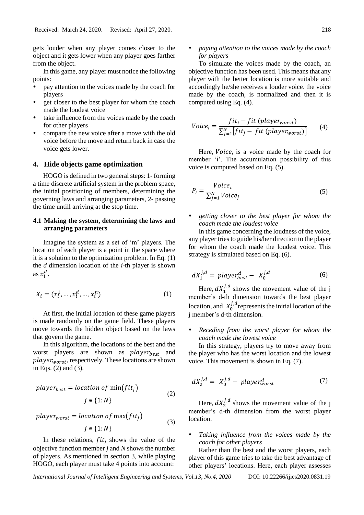gets louder when any player comes closer to the object and it gets lower when any player goes farther from the object.

In this game, any player must notice the following points:

- pay attention to the voices made by the coach for players
- get closer to the best player for whom the coach made the loudest voice
- take influence from the voices made by the coach for other players
- compare the new voice after a move with the old voice before the move and return back in case the voice gets lower.

## **4. Hide objects game optimization**

HOGO is defined in two general steps: 1- forming a time discrete artificial system in the problem space, the initial positioning of members, determining the governing laws and arranging parameters, 2- passing the time untill arriving at the stop time.

## **4.1 Making the system, determining the laws and arranging parameters**

Imagine the system as a set of 'm' players. The location of each player is a point in the space where it is a solution to the optimization problem. In Eq. (1) the *d* dimension location of the *i*-th player is shown as  $x_i^d$ .

$$
X_i = (x_i^1, \dots, x_i^d, \dots, x_i^n) \tag{1}
$$

At first, the initial location of these game players is made randomly on the game field. These players move towards the hidden object based on the laws that govern the game.

In this algorithm, the locations of the best and the worst players are shown as  $player_{best}$  and  $player_{worst}$ , respectively. These locations are shown in Eqs. (2) and (3).

$$
player_{best} = location of \min(fit_j)
$$
  

$$
j \in \{1:N\}
$$
 (2)

$$
player_{worst} = location \ of \ max(fit_j)
$$

$$
j \in \{1:N\}
$$
 (3)

In these relations,  $fit_j$  shows the value of the objective function member *j* and *N* shows the number of players. As mentioned in section 3, while playing HOGO, each player must take 4 points into account:

## *paying attention to the voices made by the coach for players*

To simulate the voices made by the coach, an objective function has been used. This means that any player with the better location is more suitable and accordingly he/she receives a louder voice. the voice made by the coach, is normalized and then it is computed using Eq. (4).

$$
Voice_i = \frac{fit_i - fit\left(player_{worst}\right)}{\sum_{j=1}^{N} [fit_j - fit\left( player_{worst}\right)]}
$$
(4)

Here,  $Voice_i$  is a voice made by the coach for member 'i'. The accumulation possibility of this voice is computed based on Eq. (5).

$$
P_i = \frac{Vole_i}{\sum_{j=1}^{N} Vole_j}
$$
 (5)

## *getting closer to the best player for whom the coach made the loudest voice*

In this game concerning the loudness of the voice, any player tries to guide his/her direction to the player for whom the coach made the loudest voice. This strategy is simulated based on Eq. (6).

$$
dX_1^{j,d} = \text{player}_{best}^d - X_0^{j,d} \tag{6}
$$

Here,  $dX_1^{j,d}$  shows the movement value of the j member's d-th dimension towards the best player location, and  $X_0^{j,d}$  represents the initial location of the j member's d-th dimension.

 *Receding from the worst player for whom the coach made the lowest voice*

In this strategy, players try to move away from the player who has the worst location and the lowest voice. This movement is shown in Eq. (7).

$$
dX_2^{j,d} = X_0^{j,d} - player_{worst}^d \tag{7}
$$

Here,  $dX_2^{j,d}$  shows the movement value of the j member's d-th dimension from the worst player location.

 *Taking influence from the voices made by the coach for other players*

Rather than the best and the worst players, each player of this game tries to take the best advantage of other players' locations. Here, each player assesses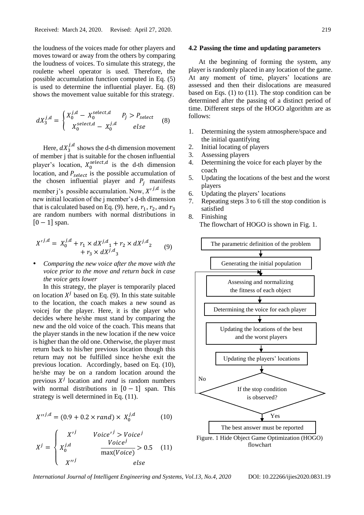the loudness of the voices made for other players and moves toward or away from the others by comparing the loudness of voices. To simulate this strategy, the roulette wheel operator is used. Therefore, the possible accumulation function computed in Eq. (5) is used to determine the influential player. Eq. (8) shows the movement value suitable for this strategy.

$$
dX_3^{j,d} = \begin{cases} X_0^{j,d} - X_0^{select,d} & P_j > P_{select} \\ X_0^{select,d} - X_0^{j,d} & else \end{cases}
$$
(8)

Here,  $dX_3^{j,d}$  shows the d-th dimension movement of member j that is suitable for the chosen influential player's location,  $X_0^{select,d}$  is the d-th dimension location, and  $P_{select}$  is the possible accumulation of the chosen influential player and  $P_i$  manifests member j's possible accumulation. Now,  $X^{\prime j,d}$  is the new initial location of the j member's d-th dimension that is calculated based on Eq. (9). here,  $r_1$ ,  $r_2$ , and  $r_3$ are random numbers with normal distributions in  $[0 - 1]$  span.

$$
X'^{j,d} = X_0^{j,d} + r_1 \times dX^{j,d} + r_2 \times dX^{j,d} + r_3 \times dX^{j,d}
$$
 (9)

 *Comparing the new voice after the move with the voice prior to the move and return back in case the voice gets lower*

In this strategy, the player is temporarily placed on location  $X^j$  based on Eq. (9). In this state suitable to the location, the coach makes a new sound as voicej for the player. Here, it is the player who decides where he/she must stand by comparing the new and the old voice of the coach. This means that the player stands in the new location if the new voice is higher than the old one. Otherwise, the player must return back to his/her previous location though this return may not be fulfilled since he/she exit the previous location. Accordingly, based on Eq. (10), he/she may be on a random location around the previous  $X^j$  location and *rand* is random numbers with normal distributions in  $[0 - 1]$  span. This strategy is well determined in Eq. (11).

$$
X''^{j,d} = (0.9 + 0.2 \times rand) \times X_0^{j,d} \tag{10}
$$

$$
X^{j} = \begin{cases} X'^{j} & \text{Voice}^{j} > \text{Voice}^{j} \\ X_{0}^{j,d} & \frac{\text{Voice}^{j}}{\max(\text{Voice})} > 0.5 \\ X''^{j} & \text{else} \end{cases}
$$
(11)

#### **4.2 Passing the time and updating parameters**

At the beginning of forming the system, any player is randomly placed in any location of the game. At any moment of time, players' locations are assessed and then their dislocations are measured based on Eqs.  $(1)$  to  $(11)$ . The stop condition can be determined after the passing of a distinct period of time. Different steps of the HOGO algorithm are as follows:

- 1. Determining the system atmosphere/space and the initial quantifying
- 2. Initial locating of players
- 3. Assessing players
- 4. Determining the voice for each player by the coach
- 5. Updating the locations of the best and the worst players
- 6. Updating the players' locations
- 7. Repeating steps 3 to 6 till the stop condition is satisfied
- 8. Finishing The flowchart of HOGO is shown in Fig. 1.

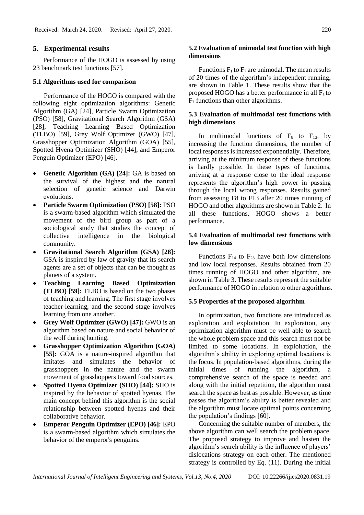## **5. Experimental results**

Performance of the HOGO is assessed by using 23 benchmark test functions [57].

#### **5.1 Algorithms used for comparison**

Performance of the HOGO is compared with the following eight optimization algorithms: Genetic Algorithm (GA) [24], Particle Swarm Optimization (PSO) [58], Gravitational Search Algorithm (GSA) [28], [Teaching Learning Based Optimization](https://www.sciencedirect.com/science/article/pii/S0010448510002484) (TLBO) [59], Grey Wolf Optimizer (GWO) [47], Grasshopper Optimization Algorithm (GOA) [55], Spotted Hyena Optimizer (SHO) [44], and Emperor Penguin Optimizer (EPO) [46].

- **Genetic Algorithm (GA) [24]:** GA is based on the survival of the highest and the natural selection of genetic science and Darwin evolutions.
- **Particle Swarm Optimization (PSO) [58]:** PSO is a swarm-based algorithm which simulated the movement of the bird group as part of a sociological study that studies the concept of collective intelligence in the biological community.
- **Gravitational Search Algorithm (GSA) [28]:**  GSA is inspired by law of gravity that its search agents are a set of objects that can be thought as planets of a system.
- **Teaching Learning Based Optimization (TLBO) [59]:** TLBO is based on the two phases of teaching and learning. The first stage involves teacher-learning, and the second stage involves learning from one another.
- **Grey Wolf Optimizer (GWO) [47]:** GWO is an algorithm based on nature and social behavior of the wolf during hunting.
- **Grasshopper Optimization Algorithm (GOA) [55]:** GOA is a nature-inspired algorithm that imitates and simulates the behavior of grasshoppers in the nature and the swarm movement of grasshoppers toward food sources.
- **Spotted Hyena Optimizer (SHO) [44]:** SHO is inspired by the behavior of spotted hyenas. The main concept behind this algorithm is the social relationship between spotted hyenas and their collaborative behavior.
- **Emperor Penguin Optimizer (EPO) [46]:** EPO is a swarm-based algorithm which simulates the behavior of the emperor's penguins.

## **5.2 Evaluation of unimodal test function with high dimensions**

Functions  $F_1$  to  $F_7$  are unimodal. The mean results of 20 times of the algorithm's independent running, are shown in Table 1. These results show that the proposed HOGO has a better performance in all  $F_1$  to F<sup>7</sup> functions than other algorithms.

#### **5.3 Evaluation of multimodal test functions with high dimensions**

In multimodal functions of  $F_8$  to  $F_{13}$ , by increasing the function dimensions, the number of local responses is increased exponentially. Therefore, arriving at the minimum response of these functions is hardly possible. In these types of functions, arriving at a response close to the ideal response represents the algorithm's high power in passing through the local wrong responses. Results gained from assessing F8 to F13 after 20 times running of HOGO and other algorithms are shown in Table 2. In all these functions, HOGO shows a better performance.

## **5.4 Evaluation of multimodal test functions with low dimensions**

Functions  $F_{14}$  to  $F_{23}$  have both low dimensions and low local responses. Results obtained from 20 times running of HOGO and other algorithm, are shown in Table 3. These results represent the suitable performance of HOGO in relation to other algorithms.

#### **5.5 Properties of the proposed algorithm**

In optimization, two functions are introduced as exploration and exploitation. In exploration, any optimization algorithm must be well able to search the whole problem space and this search must not be limited to some locations. In exploitation, the algorithm's ability in exploring optimal locations is the focus. In population-based algorithms, during the initial times of running the algorithm, a comprehensive search of the space is needed and along with the initial repetition, the algorithm must search the space as best as possible. However, as time passes the algorithm's ability is better revealed and the algorithm must locate optimal points concerning the population's findings [60].

Concerning the suitable number of members, the above algorithm can well search the problem space. The proposed strategy to improve and hasten the algorithm's search ability is the influence of players' dislocations strategy on each other. The mentioned strategy is controlled by Eq. (11). During the initial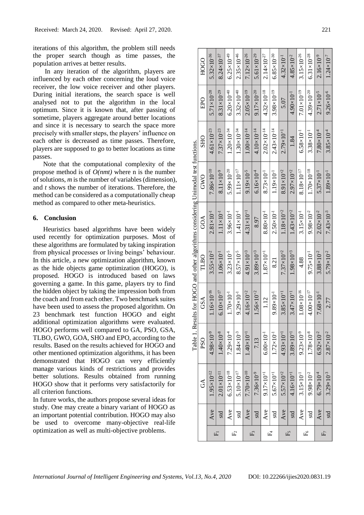iterations of this algorithm, the problem still needs the proper search though as time passes, the population arrives at better results.

In any iteration of the algorithm, players are influenced by each other concerning the loud voice receiver, the low voice receiver and other players. During initial iterations, the search space is well analysed not to put the algorithm in the local optimum. Since it is known that, after passing of sometime, players aggregate around better locations and since it is necessary to search the space more precisely with smaller steps, the players' influence on each other is decreased as time passes. Therefore, players are supposed to go to better locations as time passes.

Note that the computational complexity of the propose method is of *O(nmt)* where n is the number of solutions, *m* is the number of variables (dimension), and *t* shows the number of iterations. Therefore, the method can be considered as a computationally cheap method as compared to other meta-heuristics.

### **6. Conclusion**

Heuristics based algorithms have been widely used recently for optimization purposes. Most of these algorithms are formulated by taking inspiration from physical processes or living beings' behaviour. In this article, a new optimization algorithm, known as the hide objects game optimization (HOGO), is proposed. HOGO is introduced based on laws governing a game. In this game, players try to find the hidden object by taking the impression both from the coach and from each other. Two benchmark suites have been used to assess the proposed algorithm. On 23 benchmark test function HOGO and eight additional optimization algorithms were evaluated. HOGO performs well compared to GA, PSO, GSA, TLBO, GWO, GOA, SHO and EPO, according to the results. Based on the results achieved for HOGO and other mentioned optimization algorithms, it has been demonstrated that HOGO can very efficiently manage various kinds of restrictions and provides better solutions. Results obtained from running HOGO show that it performs very satisfactorily for all criterion functions.

In future works, the authors propose several ideas for study. One may create a binary variant of HOGO as an important potential contribution. HOGO may also be used to overcome many-objective real-life optimization as well as multi-objective problems.

|    |     |                        |                       | Table 1. Results for HOGO and other algorithms considering Unimodal test functions. |                       |                       |                        |                        |                        |                        |
|----|-----|------------------------|-----------------------|-------------------------------------------------------------------------------------|-----------------------|-----------------------|------------------------|------------------------|------------------------|------------------------|
|    |     | $\Im$                  | PS <sub>O</sub>       | GSA                                                                                 | TLBO                  | GOA                   | GWO                    | <b>SHO</b>             | EPO                    | HOGO                   |
|    | Ave | $1.95 \times 10^{-12}$ | $4.98\times10^{-9}$   | $1.16\times10^{-16}$                                                                | $3.55 \times 10^{-2}$ | $2.81\times10^{-1}$   | $7.86\times10^{-10}$   | $4.61\times10^{-23}$   | $5.71\times10^{-28}$   | $5.32\times10^{-36}$   |
|    | std | $2.01 \times 10^{-11}$ | $1.40\times10^{-8}$   | $6.10\times10^{-17}$                                                                | $1.06\times10^{-1}$   | $1.11\times10^{-1}$   | $8.11\times10^{-9}$    | $7.37\times10^{-23}$   | $8.31\times10^{-29}$   | $8.24 \times 10^{-37}$ |
|    | Ave | $6.53\times10^{-18}$   | $7.29\times10^{-4}$   | $1.70\times10^{-1}$                                                                 | $3.23 \times 10^{-5}$ | $3.96\times10^{-1}$   | $5.99 \times 10^{-20}$ | $1.20\times10^{-34}$   | $6.20\times10^{-40}$   | $6.25 \times 10^{-49}$ |
| Ę  | std | $5.10\times10^{-17}$   | $1.84 \times 10^{-3}$ | $9.29\times10^{-1}$                                                                 | $8.57 \times 10^{-5}$ | $1.41 \times 10^{-1}$ | $1.11 \times 10^{-17}$ | $1.30\times10^{-34}$   | $3.32\times10^{-40}$   | $2.35 \times 10^{-46}$ |
|    | Ave | $7.70\times10^{-10}$   | $1.40\times10^{+1}$   | $4.16\times10^{+2}$                                                                 | $4.91\times10^{+3}$   | $4.31 \times 10^{+1}$ | $9.19\times10^{-5}$    | $1.00\times10^{-14}$   | $2.05 \times 10^{-19}$ | $7.12\times10^{-26}$   |
|    | std | $7.36\times10^{-9}$    | 7.13                  | $1.56 \times 10^{+2}$                                                               | $3.89 \times 10^{+3}$ | 8.97                  | $6.16\times10^{-4}$    | $4.10\times10^{-14}$   | $9.17\times10^{-20}$   | $5.61\times10^{-29}$   |
|    | Ave | $9.17\times10^{+1}$    | $6.00\times10^{-1}$   | 1.12                                                                                | $1.87\times10^{+1}$   | $8.80\times10^{-1}$   | $8.73\times10^{-1}$    | $2.02 \times 10^{-14}$ | $4.32\times10^{-18}$   | $2.14 \times 10^{-27}$ |
|    | std | $5.67{\times}10^{+1}$  | $1.72 \times 10^{-1}$ | $9.89\times10^{-1}$                                                                 | 8.21                  | $2.50 \times 10^{-1}$ | $1.19\times10^{-1}$    | $2.43 \times 10^{-14}$ | $3.98 \times 10^{-19}$ | $6.85 \times 10^{-30}$ |
|    | Ave | $5.57\times10^{+2}$    | $4.93\times10^{+1}$   | $3.85 \times 10^{+1}$                                                               | $7.37\times10^{+2}$   | $1.18\times10^{+2}$   | $8.91\times10^{+2}$    | $2.79\times10^{+1}$    | 5.07                   | $4.32\times10^{-1}$    |
|    | std | $4.16\times10^{+1}$    | $3.89\times10^{+1}$   | $3.47\times10^{+1}$                                                                 | $1.98\times10^{+3}$   | $1.43\times10^{+2}$   | $2.97\times10^{+2}$    | 1.84                   | $4.90\times10^{-1}$    | $4.85 \times 10^{-2}$  |
|    | Ave | $3.15 \times 10^{-1}$  | $9.23 \times 10^{-9}$ | $1.08\times10^{-16}$                                                                | 4.88                  | $3.15 \times 10^{-1}$ | $8.18\times10^{-17}$   | $6.58\times10^{-1}$    | $7.01\times10^{-19}$   | $3.15\times10^{-26}$   |
| Fé | std | $9.98\times10^{-2}$    | $1.78\times10^{-8}$   | $4.00 \times 10^{-17}$                                                              | $9.75 \times 10^{-1}$ | $9.98\times10^{-2}$   | $1.70\times10^{-18}$   | $3.38\times10^{-1}$    | $4.39\times10^{-20}$   | $6.31\times10^{-28}$   |
|    | Ave | $6.79\times10^{-4}$    | $6.92\times10^{-2}$   | $7.68\times10^{-1}$                                                                 | $3.88 \times 10^{-2}$ | $2.02\times10^{-2}$   | $5.37\times10^{-1}$    | $7.80\times10^{-4}$    | $2.71 \times 10^{-5}$  | $2.16\times10^{-9}$    |
|    | std | $3.29 \times 10^{-3}$  | $2.87\times10^{-2}$   | 2.77                                                                                | $5.79\times10^{-2}$   | $7.43\times10^{-3}$   | $1.89\times10^{-1}$    | $3.85 \times 10^{-4}$  | $9.26 \times 10^{-6}$  | $1.24 \times 10^{-7}$  |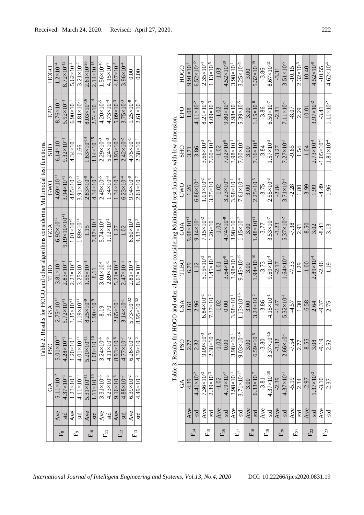| Table 2. Results for HOGO and other algorithms considering Multimodal test functions. | HOGO                      | $-1.2\times10^{+4}$    | $8.72 \times 10^{-12}$      | $5.62\times10^{-4}$   | $3.21 \times 10^{-2}$ | $2.61\times10^{-20}$   | $2.14 \times 10^{-18}$ | $1.56 \times 10^{-10}$ | $4.15 \times 10^{-7}$ | $4.87\times10^{-5}$   | $3.96\times10^{-4}$   | 0.00                   | 0.00                   |
|---------------------------------------------------------------------------------------|---------------------------|------------------------|-----------------------------|-----------------------|-----------------------|------------------------|------------------------|------------------------|-----------------------|-----------------------|-----------------------|------------------------|------------------------|
|                                                                                       | EPO                       | $-8.76\times10^{+2}$   | $5.92\times10^{+1}$         | $6.90\times10^{-1}$   | $4.81 \times 10^{-1}$ | $8.03\times10^{-16}$   | $2.74 \times 10^{-14}$ | $4.20 \times 10^{-5}$  | $4.73\times10^{-4}$   | $5.09\times10^{-3}$   | $3.75 \times 10^{-3}$ | $1.25 \times 10^{-8}$  | $2.61 \times 10^{-7}$  |
|                                                                                       | <b>SHO</b>                | $-6.14\times10^{+2}$   | $9.32\times10^{+1}$         | $4.34 \times 10^{-1}$ | 1.66                  | $1.63\times10^{-14}$   | $3.14 \times 10^{-15}$ | $2.29\times10^{-3}$    | $5.24 \times 10^{-3}$ | $3.93\times10^{-2}$   | $2.42\times10^{-2}$   | $4.75 \times 10^{-1}$  | $2.38 \times 10^{-1}$  |
|                                                                                       | GWO                       | $-4.69\times10^{+1}$   | $3.94 \times 10^{+1}$       | $4.85 \times 10^{-2}$ | $3.91\times10^{+1}$   | $2.83\times10^{-8}$    | $4.34 \times 10^{-7}$  | $2.49 \times 10^{-5}$  | $1.34 \times 10^{-4}$ | $1.34 \times 10^{-5}$ | $6.23 \times 10^{-4}$ | $9.94 \times 10^{-8}$  | $2.61 \times 10^{-7}$  |
|                                                                                       | GOA                       | $-6.92\times10^{+2}$   | $9.19\times10\times10^{+1}$ | $1.01\times10^{+2}$   | $1.89\times10^{+1}$   | 1.15                   | $7.87\times10^{-1}$    | $5.74 \times 10^{-1}$  | $1.12\times10^{-1}$   | 1.27                  | 1.02                  | $6.60\times10^{-2}$    | $4.33 \times 10^{-2}$  |
|                                                                                       | TLBO                      | $-3.81\times10^{+2}$   | $2.83\times10^{+1}$         | $2.23 \times 10^{+1}$ | $3.25 \times 10^{+1}$ | $1.55 \times 10^{+1}$  | 8.11                   | $3.01\times10^{-1}$    | $2.89\times10^{-1}$   | $5.21 \times 10^{+1}$ | $2.47\times10^{+2}$   | $2.81\times10^{+2}$    | $8.63\times10^{+2}$    |
|                                                                                       | GSA                       | $-2.75 \times 10^{+2}$ | $5.72 \times 10^{+1}$       | $3.35 \times 10^{+1}$ | $1.19\times10^{+1}$   | $8.25 \times 10^{-9}$  | $1.90\times10^{-9}$    | 8.19                   | 3.70                  | $2.65 \times 10^{-1}$ | $3.14 \times 10^{-1}$ | $5.73 \times 10^{-32}$ | $8.95 \times 10^{-32}$ |
|                                                                                       | PSO <sub>1</sub>          | $-5.01\times10^{+2}$   | $4.28 \times 10^{+1}$       | $1.20 \times 10^{-1}$ | $4.01\times10^{+1}$   | $5.20\times10^{-11}$   | $1.08\times10^{-10}$   | $3.24 \times 10^{-6}$  | $4.11 \times 10^{-5}$ | $8.93\times10^{-8}$   | $4.77\times10^{-7}$   | $6.26 \times 10^{-2}$  | $4.39 \times 10^{-2}$  |
|                                                                                       | $\mathbb{C}^{\mathsf{A}}$ | $-5.11 \times 10^{+2}$ | $4.37 \times 10^{+1}$       | $1.23 \times 10^{-1}$ | $4.11 \times 10^{+1}$ | $5.31 \times 10^{-11}$ | $1.11 \times 10^{-10}$ | $3.31\times10^{-6}$    | $4.23 \times 10^{-5}$ | $9.16\times10^{-8}$   | $4.88\times10^{-7}$   | $6.39\times10^{-2}$    | $4.49\times10^{-2}$    |
|                                                                                       |                           | Ave                    | std                         | Ave                   | std                   | Ave                    | std <sup>-</sup>       | Ave                    | std                   | Ave                   | std                   | Ave                    | std                    |
|                                                                                       |                           |                        |                             | Ę                     |                       |                        | $F_{10}$               | Ē                      |                       |                       | $F_{12}$              |                        | $F_{13}$               |

| <b>PSO</b><br>$\mathfrak{S}$                                                                 | $-5.01\times10^{+2}$<br>$-5.11\times10^{+2}$<br>Ave | $4.28\times10^{+1}$<br>$4.37\times10^{+}$ | $1.20 \times 10^{-1}$<br>$.23\times10^{-1}$<br>Ave | $4.01\times10^{+1}$<br>$4.11\times10^{+1}$ | $5.20\times10^{-11}$<br>$5.31 \times 10^{-11}$<br>Ave | $1.08\times10^{-10}$<br>$1.11\times10^{-10}$ | $3.24 \times 10^{-6}$<br>$3.31\times10^{-6}$<br>Ave | $4.11 \times 10^{-5}$<br>$4.23 \times 10^{-5}$<br>std | $8.93\times10^{-8}$<br>$9.16\times10^{-8}$<br>Ave | $4.77\times10^{-7}$<br>$4.88 \times 10^{-7}$ | $6.26\times10^{-2}$<br>$6.39\times10^{-2}$<br>Ave | $4.39\times10^{-2}$<br>$4.49\times10^{-2}$ | Table 3.                                                                                        | $\mathfrak{S}$    | 4.39<br>Ave                 | $4.41 \times 10^{-2}$<br>std | $7.36\times10^{-2}$<br>Ave                   | $2.39\times10^{-3}$<br>std                 | $-1.02$<br>Ave     | $4.19\times10^{-7}$<br>std | $3.98 \times 10^{-1}$<br>Ave               | $3.71\times10^{-17}$<br>std                  | 3.00<br>Ave  | $6.33\times10^{-7}$<br>std                   | $-3.81$<br>Ave     | $4.37\times10^{-10}$<br>std                   | $-2.39$<br>Ave     | $2.66 \times 10^{-1}$<br>$4.37 \times 10^{-7}$<br>std | $-5.19$<br>Ave     | 2.34<br>std         | $-2.97$<br>Ave     | $.37\times10^{-2}$<br>std |  |
|----------------------------------------------------------------------------------------------|-----------------------------------------------------|-------------------------------------------|----------------------------------------------------|--------------------------------------------|-------------------------------------------------------|----------------------------------------------|-----------------------------------------------------|-------------------------------------------------------|---------------------------------------------------|----------------------------------------------|---------------------------------------------------|--------------------------------------------|-------------------------------------------------------------------------------------------------|-------------------|-----------------------------|------------------------------|----------------------------------------------|--------------------------------------------|--------------------|----------------------------|--------------------------------------------|----------------------------------------------|--------------|----------------------------------------------|--------------------|-----------------------------------------------|--------------------|-------------------------------------------------------|--------------------|---------------------|--------------------|---------------------------|--|
| Table 2. Results for HOGO and other algorithms considering Multimodal test functions.<br>GSA | $-2.75 \times 10^{+2}$                              | $5.72 \times 10^{-1}$                     | $3.35 \times 10^{+1}$                              | $1.19\times10^{+1}$                        | $8.25 \times 10^{-9}$                                 | $1.90\times10^{-9}$                          | 8.19                                                | 3.70                                                  | $2.65 \times 10^{-1}$                             | $3.14 \times 10^{-1}$                        | $5.73\times10^{-32}$                              | $8.95\times10^{-32}$                       | Results for HOGO and other algorithms considering Multimodal test functions with low dimension. | GSA<br><b>PSO</b> | 3.61<br>$\frac{2.77}{2.32}$ | 2.96                         | $6.84 \times 10^{-2}$<br>$9.09\times10^{-3}$ | $7.37\times10^{-2}$<br>$2.38\times10^{-3}$ | $-1.02$<br>$-1.02$ | 0.00<br>$0.00$             | $3.98\times10^{-1}$<br>$3.98\times10^{-1}$ | $1.13\times10^{-16}$<br>$9.03\times10^{-16}$ | 3.00<br>3.00 | $3.24 \times 10^{-2}$<br>$6.59\times10^{-5}$ | $-3.86$<br>$-3.80$ | $4.15 \times 10^{-1}$<br>$3.37\times10^{-15}$ | $-1.47$<br>$-3.32$ | $5.32 \times 10^{-1}$                                 | $-4.57$<br>$-7.54$ | 1.30<br>2.77        | $-6.58$<br>$-8.55$ | 2.64<br>3.08              |  |
| <b>TLBO</b>                                                                                  | $-3.81\times10^{+2}$                                | $2.83\times10^{+1}$                       | $2.23\times10^{+1}$                                | $3.25 \times 10^{+1}$                      | $1.55 \times 10^{+1}$                                 | 8.11                                         | $3.01\times10^{-1}$                                 | $2.89\times10^{-1}$                                   | $5.21 \times 10^{+1}$                             | $2.47\times10^{+2}$                          | $2.81\times10^{+2}$                               | $8.63\times10^{+2}$                        |                                                                                                 | <b>TLBO</b>       | 6.79                        | 1.12                         | $5.15 \times 10^{-2}$                        | $3.45 \times 10^{-3}$                      | $-1.01$            | $3.64\times10^{-8}$        | $3.98 \times 10^{-1}$                      | $9.45 \times 10^{-15}$                       | 3.00         | $1.94 \times 10^{-10}$                       | $-3.73$            | $9.69\times10^{-4}$                           | $-2.17$            | $1.64 \times 10^{-1}$                                 | $-7.33$            | 1.29                | $-1.00$            | $2.89\times10^{4}$        |  |
| GOA                                                                                          | $-6.92\times10^{+2}$                                | $9.19\times10\times10^{+1}$               | $1.01\times10^{+2}$                                | $1.89\times10^{+1}$                        | 1.15                                                  | $7.87\times10^{-1}$                          | $5.74 \times 10^{-1}$                               | $1.12\times10^{-1}$                                   | 1.27                                              | 1.02                                         | $6.60 \times 10^{-2}$                             | $4.33 \times 10^{-2}$                      |                                                                                                 | GOA               | $9.98\times10^{+1}$         | $9.14 \times 10^{-1}$        | $7.15\times10^{-2}$                          | $1.26 \times 10^{-1}$                      | $-1.02$            | $4.74 \times 10^{-8}$      | $3.98\times10^{-1}$                        | $1.15\times10^{-7}$                          | 3.00         | $1.48\times10^{+1}$                          | $-3.77$            | $3.53\times10^{-7}$                           | $-3.23$            | $5.37\times10^{-2}$                                   | $-7.38$            | 2.91                | $-8.50$            | 3.02                      |  |
| GWO                                                                                          | $4.69 \times 10^{+1}$                               | $3.94 \times 10^{+1}$                     | $4.85 \times 10^{-2}$                              | $3.91 \times 10^{+1}$                      | $2.83\times10^{-8}$                                   | $4.34 \times 10^{-7}$                        | $2.49 \times 10^{-5}$                               | $1.34 \times 10^{-4}$                                 | $1.34 \times 10^{-5}$                             | $6.23 \times 10^{-4}$                        | $9.94 \times 10^{-8}$                             | $2.61 \times 10^{-7}$                      |                                                                                                 | GWO               | 1.26                        | $6.86 \times 10^{-1}$        | $1.01\times10^{-2}$                          | $3.75 \times 10^{-3}$                      | $-1.02$            | $3.23 \times 10^{-5}$      | $3.98 \times 10^{-1}$                      | $7.61\times10^{-4}$                          | 3.00         | $2.25 \times 10^{-5}$                        | $-3.75$            | $2.55 \times 10^{-3}$                         | $-2.84$            | $3.71 \times 10^{-1}$                                 | $-2.28$            | 1.80                | $-3.99$            | 1.99                      |  |
| <b>OHS</b>                                                                                   | $-6.14 \times 10^{+2}$                              | $9.32\times10^{+1}$                       | $4.34 \times 10^{-1}$                              | 1.66                                       | $1.63\times10^{-14}$                                  | $3.14\times10^{-15}$                         | $2.29\times10^{-3}$                                 | $5.24 \times 10^{-3}$                                 | $3.93\times10^{-2}$                               | $2.42\times10^{-2}$                          | $4.75 \times 10^{-1}$                             | $2.38 \times 10^{-1}$                      |                                                                                                 | <b>OHS</b>        | 3.71                        | 3.86                         | $3.66 \times 10^{-2}$                        | $7.60\times10^{-2}$                        | $-1.02$            | $7.02\times10^{-9}$        | $3.98 \times 10^{-1}$                      | $7.00\times10^{-7}$                          | 3.00         | $7.16\times10^{-6}$                          | $-3.84$            | $1.57\times10^{-3}$                           | $-3.27$            | $7.27\times10^{-2}$                                   | $-9.65$            | 1.54                | $-1.04$            | $2.73\times10^{-4}$       |  |
| EPO                                                                                          | $-8.76\times10^{+2}$                                | $5.92\times10^{+1}$                       | $6.90\times10^{-1}$                                | $4.81 \times 10^{-1}$                      | $8.03\times10^{-16}$                                  | $2.74 \times 10^{-14}$                       | $4.20 \times 10^{-5}$                               | $4.73 \times 10^{-4}$                                 | $5.09\times10^{-3}$                               | $3.75 \times 10^{-3}$                        | $1.25 \times 10^{-8}$                             | $2.61 \times 10^{-7}$                      |                                                                                                 | EPO               | 1.08                        | $4.11\times10^{-2}$          | $8.21\times10^{-3}$                          | $4.09\times10^{-3}$                        | $-1.02$            | $9.80\times10^{-7}$        | $3.98\times10^{-1}$                        | $5.39\times10^{-5}$                          | 3.00         | $1.15 \times 10^{-8}$                        | $-3.86$            | $6.50\times10^{-7}$                           | $-2.81$            | $7.11 \times 10^{-1}$                                 | $-8.07$            | 2.29                | $-10.01$           | $3.97\times10^{-2}$       |  |
| HOGO                                                                                         | $-1.2\times10^{+4}$                                 | $8.72\times10^{-12}$                      | $5.62\times10^{-4}$                                | $3.21 \times 10^{-2}$                      | $2.61\times10^{-20}$                                  | $2.14\times10^{-18}$                         | $1.56\times10^{-10}$                                | $4.15 \times 10^{-7}$                                 | $4.87\times10^{-5}$                               | $3.96\times10^{-4}$                          | 0.00                                              | 0.00                                       |                                                                                                 | HOGO              | $9.91\times10^{-1}$         | $6.52 \times 10^{-12}$       | $2.35 \times 10^{-4}$                        | $1.13\times10^{-5}$                        | $-1.03$            | $4.52 \times 10^{-10}$     | $3.98 \times 10^{-1}$                      | $3.25 \times 10^{-21}$                       | 3.00         | $5.32\times10^{-19}$                         | $-3.86$            | $8.67\times10^{-11}$                          | $-3.31$            | $3.51\times10^{-5}$                                   | $-10.15$           | $2.32\times10^{-3}$ | $-10.40$           | $4.52\times10^{-8}$       |  |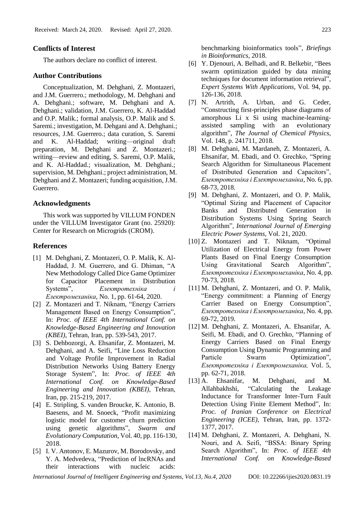### **Conflicts of Interest**

The authors declare no conflict of interest.

#### **Author Contributions**

Conceptualization, M. Dehghani, Z. Montazeri, and J.M. Guerrero.; methodology, M. Dehghani and A. Dehghani.; software, M. Dehghani and A. Dehghani.; validation, J.M. Guerrero, K. Al-Haddad and O.P. Malik.; formal analysis, O.P. Malik and S. Saremi.; investigation, M. Dehgani and A. Dehghani.; resources, J.M. Guerrero.; data curation, S. Saremi and K. Al-Haddad; writing—original draft preparation, M. Dehghani and Z. Montazeri.; writing—review and editing, S. Saremi, O.P. Malik, and K. Al-Haddad.; visualization, M. Dehghani.; supervision, M. Dehghani.; project administration, M. Dehghani and Z. Montazeri; funding acquisition, J.M. Guerrero.

#### **Acknowledgments**

This work was supported by VILLUM FONDEN under the VILLUM Investigator Grant (no. 25920): Center for Research on Microgrids (CROM).

#### **References**

- [1] M. Dehghani, Z. Montazeri, O. P. Malik, K. Al-Haddad, J. M. Guerrero, and G. Dhiman, "A New Methodology Called Dice Game Optimizer for Capacitor Placement in Distribution Systems", *Електротехніка і Електромеханіка*, No. 1, pp. 61-64, 2020.
- [2] Z. Montazeri and T. Niknam, "Energy Carriers Management Based on Energy Consumption", In: *Proc. of IEEE 4th International Conf. on Knowledge-Based Engineering and Innovation (KBEI),* Tehran, Iran, pp. 539-543, 2017.
- [3] S. Dehbozorgi, A. Ehsanifar, Z. Montazeri, M. Dehghani, and A. Seifi, "Line Loss Reduction and Voltage Profile Improvement in Radial Distribution Networks Using Battery Energy Storage System", In: *Proc. of IEEE 4th International Conf. on Knowledge-Based Engineering and Innovation (KBEI),* Tehran, Iran, pp. 215-219, 2017.
- [4] E. Stripling, S. vanden Broucke, K. Antonio, B. Baesens, and M. Snoeck, "Profit maximizing logistic model for customer churn prediction using genetic algorithms", *Swarm and Evolutionary Computation,* Vol. 40, pp. 116-130, 2018.
- [5] I. V. Antonov, E. Mazurov, M. Borodovsky, and Y. A. Medvedeva, "Prediction of lncRNAs and their interactions with nucleic acids:

benchmarking bioinformatics tools", *Briefings in Bioinformatics,* 2018.

- [6] Y. Djenouri, A. Belhadi, and R. Belkebir, "Bees swarm optimization guided by data mining techniques for document information retrieval", *Expert Systems With Applications,* Vol. 94, pp. 126-136, 2018.
- [7] N. Artrith, A. Urban, and G. Ceder, "Constructing first-principles phase diagrams of amorphous Li x Si using machine-learningassisted sampling with an evolutionary algorithm", *The Journal of Chemical Physics,*  Vol. 148, p. 241711, 2018.
- [8] M. Dehghani, M. Mardaneh, Z. Montazeri, A. Ehsanifar, M. Ebadi, and O. Grechko, "Spring Search Algorithm for Simultaneous Placement of Distributed Generation and Capacitors", *Електротехніка і Електромеханіка*, No. 6, pp. 68-73, 2018.
- [9] M. Dehghani, Z. Montazeri, and O. P. Malik, "Optimal Sizing and Placement of Capacitor Banks and Distributed Generation in Distribution Systems Using Spring Search Algorithm", *International Journal of Emerging Electric Power Systems*, Vol. 21, 2020.
- [10] Z. Montazeri and T. Niknam, "Optimal Utilization of Electrical Energy from Power Plants Based on Final Energy Consumption Using Gravitational Search Algorithm", *Електротехніка і Електромеханіка*, No. 4, pp. 70-73, 2018.
- [11] M. Dehghani, Z. Montazeri, and O. P. Malik, "Energy commitment: a Planning of Energy Carrier Based on Energy Consumption", *Електротехніка і Електромеханіка*, No. 4, pp. 69-72, 2019.
- [12] M. Dehghani, Z. Montazeri, A. Ehsanifar, A. Seifi, M. Ebadi, and O. Grechko, "Planning of Energy Carriers Based on Final Energy Consumption Using Dynamic Programming and Particle Swarm Optimization", *Електротехніка і Електромеханіка,* Vol. 5, pp. 62-71, 2018.
- [13] A. Ehsanifar, M. Dehghani, and M. Allahbakhshi, "Calculating the Leakage Inductance for Transformer Inter-Turn Fault Detection Using Finite Element Method", In: *Proc. of Iranian Conference on Electrical Engineering (ICEE),* Tehran, Iran, pp. 1372- 1377, 2017.
- [14] M. Dehghani, Z. Montazeri, A. Dehghani, N. Nouri, and A. Seifi, "BSSA: Binary Spring Search Algorithm", In: *Proc. of IEEE 4th International Conf. on Knowledge-Based*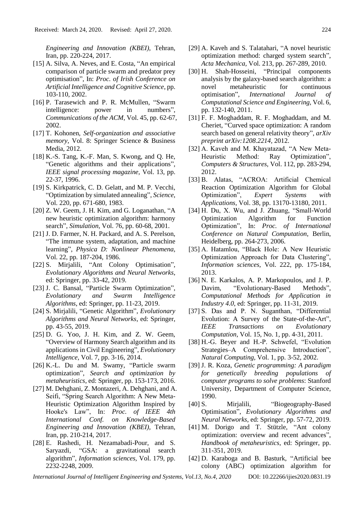*Engineering and Innovation (KBEI),* Tehran, Iran, pp. 220-224, 2017.

- [15] A. Silva, A. Neves, and E. Costa, "An empirical comparison of particle swarm and predator prey optimisation", In: *Proc. of Irish Conference on Artificial Intelligence and Cognitive Science*, pp. 103-110, 2002.
- [16] P. Tarasewich and P. R. McMullen, "Swarm" intelligence: power in numbers", *Communications of the ACM,* Vol. 45, pp. 62-67, 2002.
- [17] T. Kohonen, *Self-organization and associative memory*, Vol. 8: Springer Science & Business Media, 2012.
- [18] K.-S. Tang, K.-F. Man, S. Kwong, and Q. He, "Genetic algorithms and their applications", *IEEE signal processing magazine,* Vol. 13, pp. 22-37, 1996.
- [19] S. Kirkpatrick, C. D. Gelatt, and M. P. Vecchi, "Optimization by simulated annealing", *Science,*  Vol. 220, pp. 671-680, 1983.
- [20] Z. W. Geem, J. H. Kim, and G. Loganathan, "A new heuristic optimization algorithm: harmony search", *Simulation,* Vol. 76, pp. 60-68, 2001.
- [21] J. D. Farmer, N. H. Packard, and A. S. Perelson, "The immune system, adaptation, and machine learning", *Physica D: Nonlinear Phenomena,*  Vol. 22, pp. 187-204, 1986.
- [22] S. Mirjalili, "Ant Colony Optimisation", *Evolutionary Algorithms and Neural Networks*, ed: Springer, pp. 33-42, 2019.
- [23] J. C. Bansal, "Particle Swarm Optimization", *Evolutionary and Swarm Intelligence Algorithms*, ed: Springer, pp. 11-23, 2019.
- [24] S. Mirjalili, "Genetic Algorithm", *Evolutionary Algorithms and Neural Networks*, ed: Springer, pp. 43-55, 2019.
- [25] D. G. Yoo, J. H. Kim, and Z. W. Geem, "Overview of Harmony Search algorithm and its applications in Civil Engineering", *Evolutionary Intelligence,* Vol. 7, pp. 3-16, 2014.
- [26] K.-L. Du and M. Swamy, "Particle swarm optimization", *Search and optimization by metaheuristics*, ed: Springer, pp. 153-173, 2016.
- [27] M. Dehghani, Z. Montazeri, A. Dehghani, and A. Seifi, "Spring Search Algorithm: A New Meta-Heuristic Optimization Algorithm Inspired by Hooke's Law", In: *Proc. of IEEE 4th International Conf. on Knowledge-Based Engineering and Innovation (KBEI),* Tehran, Iran, pp. 210-214, 2017.
- [28] E. Rashedi, H. Nezamabadi-Pour, and S. Saryazdi, "GSA: a gravitational search algorithm", *Information sciences,* Vol. 179, pp. 2232-2248, 2009.
- [29] A. Kaveh and S. Talatahari, "A novel heuristic optimization method: charged system search", *Acta Mechanica,* Vol. 213, pp. 267-289, 2010.
- [30] H. Shah-Hosseini, "Principal components analysis by the galaxy-based search algorithm: a novel metaheuristic for continuous optimisation", *International Journal of Computational Science and Engineering,* Vol. 6, pp. 132-140, 2011.
- [31] F. F. Moghaddam, R. F. Moghaddam, and M. Cheriet, "Curved space optimization: A random search based on general relativity theory", *arXiv preprint arXiv:1208.2214,* 2012.
- [32] A. Kaveh and M. Khayatazad, "A New Meta-Heuristic Method: Ray Optimization", *Computers & Structures,* Vol. 112, pp. 283-294, 2012.
- [33] B. Alatas, "ACROA: Artificial Chemical Reaction Optimization Algorithm for Global Optimization", *Expert Systems with Applications,* Vol. 38, pp. 13170-13180, 2011.
- [34] H. Du, X. Wu, and J. Zhuang, "Small-World Optimization Algorithm for Function Optimization", In: *Proc. of International Conference on Natural Computation*, Berlin, Heidelberg, pp. 264-273, 2006.
- [35] A. Hatamlou, "Black Hole: A New Heuristic Optimization Approach for Data Clustering", *Information sciences,* Vol. 222, pp. 175-184, 2013.
- [36] N. E. Karkalos, A. P. Markopoulos, and J. P. Davim, "Evolutionary-Based Methods", *Computational Methods for Application in Industry 4.0*, ed: Springer, pp. 11-31, 2019.
- [37] S. Das and P. N. Suganthan, "Differential Evolution: A Survey of the State-of-the-Art", *IEEE Transactions on Evolutionary Computation,* Vol. 15, No. 1, pp. 4-31, 2011.
- [38] H.-G. Beyer and H.-P. Schwefel, "Evolution" Strategies–A Comprehensive Introduction", *Natural Computing,* Vol. 1, pp. 3-52, 2002.
- [39] J. R. Koza, *Genetic programming: A paradigm for genetically breeding populations of computer programs to solve problems*: Stanford University, Department of Computer Science, 1990.
- [40] S. Mirjalili, "Biogeography-Based Optimisation", *Evolutionary Algorithms and Neural Networks*, ed: Springer, pp. 57-72, 2019.
- [41] M. Dorigo and T. Stützle, "Ant colony optimization: overview and recent advances", *Handbook of metaheuristics*, ed: Springer, pp. 311-351, 2019.
- [42] D. Karaboga and B. Basturk, "Artificial bee colony (ABC) optimization algorithm for